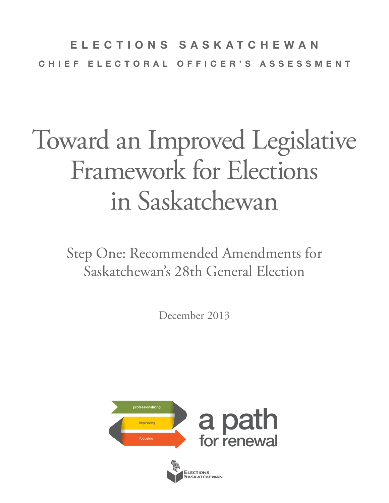### **ELECTIONS SASKATCHEWAN CHIEF ELECTORAL OFFICER'S ASSESSMENT**

# Toward an Improved Legislative Framework for Elections in Saskatchewan

Step One: Recommended Amendments for Saskatchewan's 28th General Election

December 2013

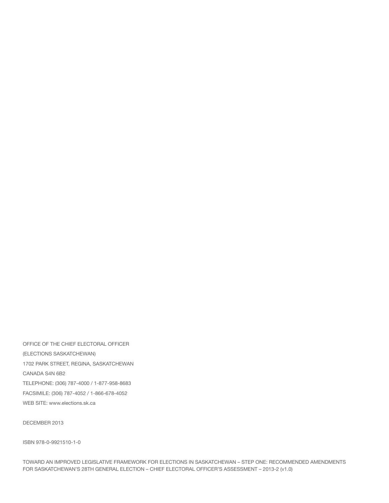OFFICE OF THE CHIEF ELECTORAL OFFICER (ELECTIONS SASKATCHEWAN) 1702 PARK STREET, REGINA, SASKATCHEWAN CANADA S4N 6B2 TELEPHONE: (306) 787-4000 / 1-877-958-8683 FACSIMILE: (306) 787-4052 / 1-866-678-4052 WEB SITE: www.elections.sk.ca

DECEMBER 2013

ISBN 978-0-9921510-1-0

TOWARD AN IMPROVED LEGISLATIVE FRAMEWORK FOR ELECTIONS IN SASKATCHEWAN – STEP ONE: RECOMMENDED AMENDMENTS FOR SASKATCHEWAN'S 28TH GENERAL ELECTION – CHIEF ELECTORAL OFFICER'S ASSESSMENT – 2013-2 (v1.0)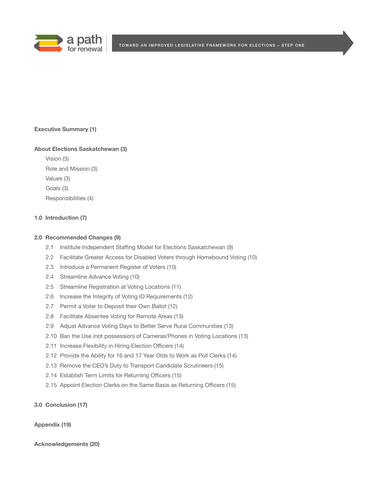

#### **Executive Summary (1)**

#### **About Elections Saskatchewan (3)**

 Vision (3) Role and Mission (3) Values (3) Goals (3) Responsibilities (4)

#### **1.0 Introduction (7)**

#### **2.0 Recommended Changes (9)**

- 2.1 Institute Independent Staffing Model for Elections Saskatchewan (9)
- 2.2 Facilitate Greater Access for Disabled Voters through Homebound Voting (10)
- 2.3 Introduce a Permanent Register of Voters (10)
- 2.4 Streamline Advance Voting (10)
- 2.5 Streamline Registration at Voting Locations (11)
- 2.6 Increase the Integrity of Voting ID Requirements (12)
- 2.7 Permit a Voter to Deposit their Own Ballot (12)
- 2.8 Facilitate Absentee Voting for Remote Areas (13)
- 2.9 Adjust Advance Voting Days to Better Serve Rural Communities (13)
- 2.10 Ban the Use (not possession) of Cameras/Phones in Voting Locations (13)
- 2.11 Increase Flexibility in Hiring Election Officers (14)
- 2.12 Provide the Ability for 16 and 17 Year Olds to Work as Poll Clerks (14)
- 2.13 Remove the CEO's Duty to Transport Candidate Scrutineers (15)
- 2.14 Establish Term Limits for Returning Officers (15)
- 2.15 Appoint Election Clerks on the Same Basis as Returning Officers (15)

#### **3.0 Conclusion (17)**

#### **Appendix (19)**

**Acknowledgements (20)**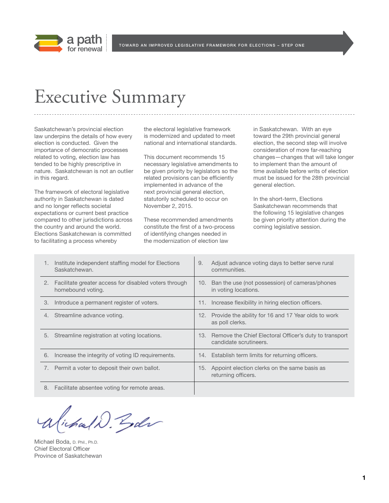

### Executive Summary

Saskatchewan's provincial election law underpins the details of how every election is conducted. Given the importance of democratic processes related to voting, election law has tended to be highly prescriptive in nature. Saskatchewan is not an outlier in this regard.

The framework of electoral legislative authority in Saskatchewan is dated and no longer reflects societal expectations or current best practice compared to other jurisdictions across the country and around the world. Elections Saskatchewan is committed to facilitating a process whereby

the electoral legislative framework is modernized and updated to meet national and international standards.

This document recommends 15 necessary legislative amendments to be given priority by legislators so the related provisions can be efficiently implemented in advance of the next provincial general election, statutorily scheduled to occur on November 2, 2015.

These recommended amendments constitute the first of a two-process of identifying changes needed in the modernization of election law

in Saskatchewan. With an eye toward the 29th provincial general election, the second step will involve consideration of more far-reaching changes—changes that will take longer to implement than the amount of time available before writs of election must be issued for the 28th provincial general election.

In the short-term, Elections Saskatchewan recommends that the following 15 legislative changes be given priority attention during the coming legislative session.

|    | Institute independent staffing model for Elections<br>Saskatchewan.        | 9. | Adjust advance voting days to better serve rural<br>communities.                     |
|----|----------------------------------------------------------------------------|----|--------------------------------------------------------------------------------------|
| 2. | Facilitate greater access for disabled voters through<br>homebound voting. |    | 10. Ban the use (not possession) of cameras/phones<br>in voting locations.           |
| 3. | Introduce a permanent register of voters.                                  |    | 11. Increase flexibility in hiring election officers.                                |
| 4. | Streamline advance voting.                                                 |    | 12. Provide the ability for 16 and 17 Year olds to work<br>as poll clerks.           |
| 5. | Streamline registration at voting locations.                               |    | 13. Remove the Chief Electoral Officer's duty to transport<br>candidate scrutineers. |
| 6. | Increase the integrity of voting ID requirements.                          |    | 14. Establish term limits for returning officers.                                    |
|    | Permit a voter to deposit their own ballot.                                |    | 15. Appoint election clerks on the same basis as<br>returning officers.              |
| 8. | Facilitate absentee voting for remote areas.                               |    |                                                                                      |

Victoral D. Goder

Michael Boda, D. Phil., Ph.D. Chief Electoral Officer Province of Saskatchewan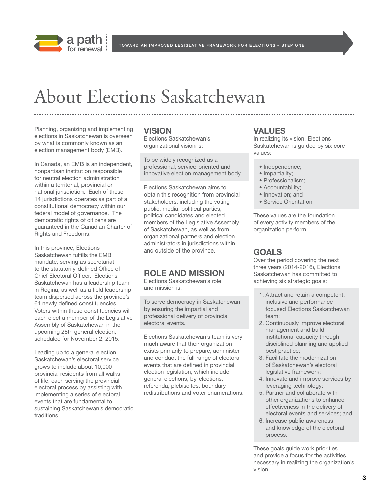

TOWARD AN IMPROVED LEGISLATIVE FRAMEWORK FOR ELECTIONS - STEP ONE

## About Elections Saskatchewan

Planning, organizing and implementing elections in Saskatchewan is overseen by what is commonly known as an election management body (EMB).

In Canada, an EMB is an independent, nonpartisan institution responsible for neutral election administration within a territorial, provincial or national jurisdiction. Each of these 14 jurisdictions operates as part of a constitutional democracy within our federal model of governance. The democratic rights of citizens are guaranteed in the Canadian Charter of Rights and Freedoms.

In this province, Elections Saskatchewan fulfills the EMB mandate, serving as secretariat to the statutorily-defined Office of Chief Electoral Officer. Elections Saskatchewan has a leadership team in Regina, as well as a field leadership team dispersed across the province's 61 newly defined constituencies. Voters within these constituencies will each elect a member of the Legislative Assembly of Saskatchewan in the upcoming 28th general election, scheduled for November 2, 2015.

Leading up to a general election, Saskatchewan's electoral service grows to include about 10,000 provincial residents from all walks of life, each serving the provincial electoral process by assisting with implementing a series of electoral events that are fundamental to sustaining Saskatchewan's democratic traditions.

#### **VISION**

Elections Saskatchewan's organizational vision is:

To be widely recognized as a professional, service-oriented and innovative election management body.

Elections Saskatchewan aims to obtain this recognition from provincial stakeholders, including the voting public, media, political parties, political candidates and elected members of the Legislative Assembly of Saskatchewan, as well as from organizational partners and election administrators in jurisdictions within and outside of the province.

### **ROLE AND MISSION**

Elections Saskatchewan's role and mission is:

To serve democracy in Saskatchewan by ensuring the impartial and professional delivery of provincial electoral events.

Elections Saskatchewan's team is very much aware that their organization exists primarily to prepare, administer and conduct the full range of electoral events that are defined in provincial election legislation, which include general elections, by-elections, referenda, plebiscites, boundary redistributions and voter enumerations.

#### **VALUES**

In realizing its vision, Elections Saskatchewan is guided by six core values:

- Independence;
- Impartiality;
- Professionalism;
- Accountability;
- Innovation; and
- Service Orientation

These values are the foundation of every activity members of the organization perform.

### **GOALS**

Over the period covering the next three years (2014-2016), Elections Saskatchewan has committed to achieving six strategic goals:

- 1. Attract and retain a competent, inclusive and performancefocused Elections Saskatchewan team;
- 2. Continuously improve electoral management and build institutional capacity through disciplined planning and applied best practice;
- 3. Facilitate the modernization of Saskatchewan's electoral legislative framework;
- 4. Innovate and improve services by leveraging technology;
- 5. Partner and collaborate with other organizations to enhance effectiveness in the delivery of electoral events and services; and
- 6. Increase public awareness and knowledge of the electoral process.

These goals guide work priorities and provide a focus for the activities necessary in realizing the organization's vision.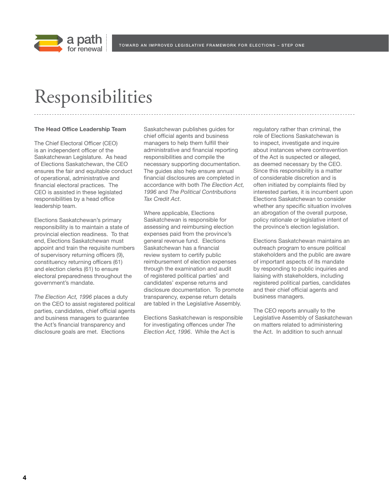

### Responsibilities

#### **The Head Office Leadership Team**

The Chief Electoral Officer (CEO) is an independent officer of the Saskatchewan Legislature. As head of Elections Saskatchewan, the CEO ensures the fair and equitable conduct of operational, administrative and financial electoral practices. The CEO is assisted in these legislated responsibilities by a head office leadership team.

Elections Saskatchewan's primary responsibility is to maintain a state of provincial election readiness. To that end, Elections Saskatchewan must appoint and train the requisite numbers of supervisory returning officers (9), constituency returning officers (61) and election clerks (61) to ensure electoral preparedness throughout the government's mandate.

*The Election Act, 1996* places a duty on the CEO to assist registered political parties, candidates, chief official agents and business managers to guarantee the Act's financial transparency and disclosure goals are met. Elections

Saskatchewan publishes guides for chief official agents and business managers to help them fulfill their administrative and financial reporting responsibilities and compile the necessary supporting documentation. The guides also help ensure annual financial disclosures are completed in accordance with both *The Election Act, 1996* and *The Political Contributions Tax Credit Act*.

Where applicable, Elections Saskatchewan is responsible for assessing and reimbursing election expenses paid from the province's general revenue fund. Elections Saskatchewan has a financial review system to certify public reimbursement of election expenses through the examination and audit of registered political parties' and candidates' expense returns and disclosure documentation. To promote transparency, expense return details are tabled in the Legislative Assembly.

Elections Saskatchewan is responsible for investigating offences under *The Election Act, 1996*. While the Act is

regulatory rather than criminal, the role of Elections Saskatchewan is to inspect, investigate and inquire about instances where contravention of the Act is suspected or alleged, as deemed necessary by the CEO. Since this responsibility is a matter of considerable discretion and is often initiated by complaints filed by interested parties, it is incumbent upon Elections Saskatchewan to consider whether any specific situation involves an abrogation of the overall purpose, policy rationale or legislative intent of the province's election legislation.

Elections Saskatchewan maintains an outreach program to ensure political stakeholders and the public are aware of important aspects of its mandate by responding to public inquiries and liaising with stakeholders, including registered political parties, candidates and their chief official agents and business managers.

The CEO reports annually to the Legislative Assembly of Saskatchewan on matters related to administering the Act. In addition to such annual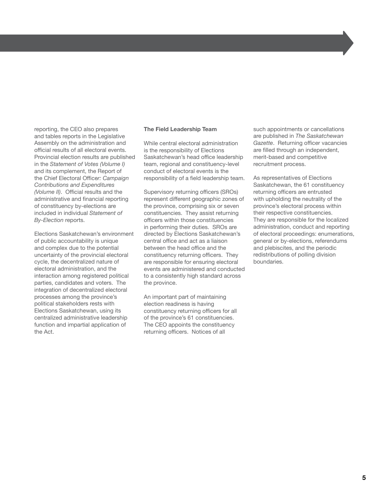reporting, the CEO also prepares and tables reports in the Legislative Assembly on the administration and official results of all electoral events. Provincial election results are published in the *Statement of Votes (Volume I)* and its complement, the Report of the Chief Electoral Office*r: Campaign Contributions and Expenditures (Volume II)*. Official results and the administrative and financial reporting of constituency by-elections are included in individual *Statement of By-Election* reports.

Elections Saskatchewan's environment of public accountability is unique and complex due to the potential uncertainty of the provincial electoral cycle, the decentralized nature of electoral administration, and the interaction among registered political parties, candidates and voters. The integration of decentralized electoral processes among the province's political stakeholders rests with Elections Saskatchewan, using its centralized administrative leadership function and impartial application of the Act.

#### **The Field Leadership Team**

While central electoral administration is the responsibility of Elections Saskatchewan's head office leadership team, regional and constituency-level conduct of electoral events is the responsibility of a field leadership team.

Supervisory returning officers (SROs) represent different geographic zones of the province, comprising six or seven constituencies. They assist returning officers within those constituencies in performing their duties. SROs are directed by Elections Saskatchewan's central office and act as a liaison between the head office and the constituency returning officers. They are responsible for ensuring electoral events are administered and conducted to a consistently high standard across the province.

An important part of maintaining election readiness is having constituency returning officers for all of the province's 61 constituencies. The CEO appoints the constituency returning officers. Notices of all

such appointments or cancellations are published in *The Saskatchewan Gazette*. Returning officer vacancies are filled through an independent, merit-based and competitive recruitment process.

As representatives of Elections Saskatchewan, the 61 constituency returning officers are entrusted with upholding the neutrality of the province's electoral process within their respective constituencies. They are responsible for the localized administration, conduct and reporting of electoral proceedings: enumerations, general or by-elections, referendums and plebiscites, and the periodic redistributions of polling division boundaries.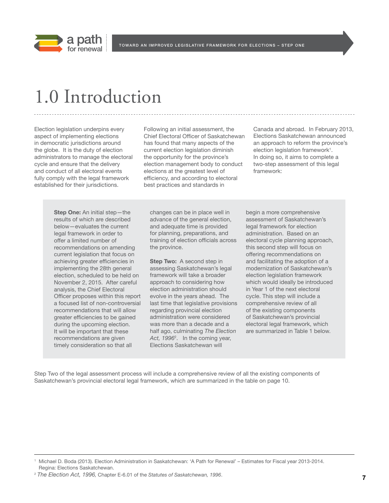

### 1.0 Introduction

Election legislation underpins every aspect of implementing elections in democratic jurisdictions around the globe. It is the duty of election administrators to manage the electoral cycle and ensure that the delivery and conduct of all electoral events fully comply with the legal framework established for their jurisdictions.

Following an initial assessment, the Chief Electoral Officer of Saskatchewan has found that many aspects of the current election legislation diminish the opportunity for the province's election management body to conduct elections at the greatest level of efficiency, and according to electoral best practices and standards in

Canada and abroad. In February 2013, Elections Saskatchewan announced an approach to reform the province's election legislation framework<sup>1</sup>. In doing so, it aims to complete a two-step assessment of this legal framework:

**Step One:** An initial step—the results of which are described below—evaluates the current legal framework in order to offer a limited number of recommendations on amending current legislation that focus on achieving greater efficiencies in implementing the 28th general election, scheduled to be held on November 2, 2015. After careful analysis, the Chief Electoral Officer proposes within this report a focused list of non-controversial recommendations that will allow greater efficiencies to be gained during the upcoming election. It will be important that these recommendations are given timely consideration so that all

changes can be in place well in advance of the general election, and adequate time is provided for planning, preparations, and training of election officials across the province.

**Step Two:** A second step in assessing Saskatchewan's legal framework will take a broader approach to considering how election administration should evolve in the years ahead. The last time that legislative provisions regarding provincial election administration were considered was more than a decade and a half ago, culminating *The Election Act, 1996*<sup>2</sup> . In the coming year, Elections Saskatchewan will

begin a more comprehensive assessment of Saskatchewan's legal framework for election administration. Based on an electoral cycle planning approach, this second step will focus on offering recommendations on and facilitating the adoption of a modernization of Saskatchewan's election legislation framework which would ideally be introduced in Year 1 of the next electoral cycle. This step will include a comprehensive review of all of the existing components of Saskatchewan's provincial electoral legal framework, which are summarized in Table 1 below.

Step Two of the legal assessment process will include a comprehensive review of all the existing components of Saskatchewan's provincial electoral legal framework, which are summarized in the table on page 10.

<sup>1</sup> Michael D. Boda (2013). Election Administration in Saskatchewan: 'A Path for Renewal' – Estimates for Fiscal year 2013-2014. Regina: Elections Saskatchewan.

<sup>2</sup> *The Election Act, 1996,* Chapter E-6.01 of the *Statutes of Saskatchewan, 1996*.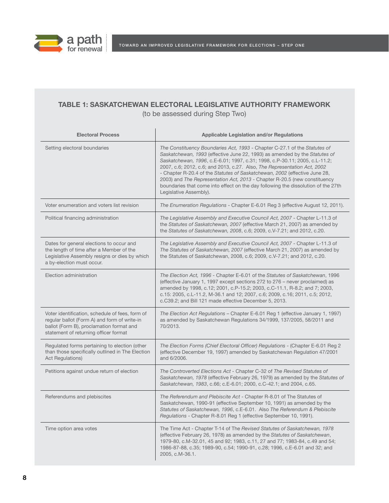

### **TABLE 1: SASKATCHEWAN ELECTORAL LEGISLATIVE AUTHORITY FRAMEWORK**

(to be assessed during Step Two)

| <b>Electoral Process</b>                                                                                                                                                             | <b>Applicable Legislation and/or Regulations</b>                                                                                                                                                                                                                                                                                                                                                                                                                                                                                                                                            |  |  |
|--------------------------------------------------------------------------------------------------------------------------------------------------------------------------------------|---------------------------------------------------------------------------------------------------------------------------------------------------------------------------------------------------------------------------------------------------------------------------------------------------------------------------------------------------------------------------------------------------------------------------------------------------------------------------------------------------------------------------------------------------------------------------------------------|--|--|
| Setting electoral boundaries                                                                                                                                                         | The Constituency Boundaries Act, 1993 - Chapter C-27.1 of the Statutes of<br>Saskatchewan, 1993 (effective June 22, 1993) as amended by the Statutes of<br>Saskatchewan, 1996, c.E-6.01; 1997, c.31; 1998, c.P-30.11; 2005, c.L-11.2;<br>2007, c.6; 2012, c.6; and 2013, c.27. Also, The Representation Act, 2002<br>- Chapter R-20.4 of the Statutes of Saskatchewan, 2002 (effective June 28,<br>2003) and The Representation Act, 2013 - Chapter R-20.5 (new constituency<br>boundaries that come into effect on the day following the dissolution of the 27th<br>Legislative Assembly). |  |  |
| Voter enumeration and voters list revision                                                                                                                                           | The Enumeration Regulations - Chapter E-6.01 Reg 3 (effective August 12, 2011).                                                                                                                                                                                                                                                                                                                                                                                                                                                                                                             |  |  |
| Political financing administration                                                                                                                                                   | The Legislative Assembly and Executive Council Act, 2007 - Chapter L-11.3 of<br>the Statutes of Saskatchewan, 2007 (effective March 21, 2007) as amended by<br>the Statutes of Saskatchewan, 2008, c.6; 2009, c.V-7.21; and 2012, c.20.                                                                                                                                                                                                                                                                                                                                                     |  |  |
| Dates for general elections to occur and<br>the length of time after a Member of the<br>Legislative Assembly resigns or dies by which<br>a by-election must occur.                   | The Legislative Assembly and Executive Council Act, 2007 - Chapter L-11.3 of<br>The Statutes of Saskatchewan, 2007 (effective March 21, 2007) as amended by<br>the Statutes of Saskatchewan, 2008, c.6; 2009, c.V-7.21; and 2012, c.20.                                                                                                                                                                                                                                                                                                                                                     |  |  |
| Election administration                                                                                                                                                              | The Election Act, 1996 - Chapter E-6.01 of the Statutes of Saskatchewan, 1996<br>(effective January 1, 1997 except sections 272 to 276 - never proclaimed) as<br>amended by 1998, c.12; 2001, c.P-15.2; 2003, c.C-11.1, R-8.2; and 7; 2003,<br>c.15: 2005, c.L-11.2, M-36.1 and 12; 2007, c.6; 2009, c.16; 2011, c.5; 2012,<br>c.C39.2; and Bill 121 made effective December 5, 2013.                                                                                                                                                                                                       |  |  |
| Voter identification, schedule of fees, form of<br>regular ballot (Form A) and form of write-in<br>ballot (Form B), proclamation format and<br>statement of returning officer format | The Election Act Regulations - Chapter E-6.01 Reg 1 (effective January 1, 1997)<br>as amended by Saskatchewan Regulations 34/1999, 137/2005, 58/2011 and<br>70/2013.                                                                                                                                                                                                                                                                                                                                                                                                                        |  |  |
| Regulated forms pertaining to election (other<br>than those specifically outlined in The Election<br><b>Act Regulations)</b>                                                         | The Election Forms (Chief Electoral Officer) Regulations - (Chapter E-6.01 Reg 2<br>(effective December 19, 1997) amended by Saskatchewan Regulation 47/2001<br>and 6/2006.                                                                                                                                                                                                                                                                                                                                                                                                                 |  |  |
| Petitions against undue return of election                                                                                                                                           | The Controverted Elections Act - Chapter C-32 of The Revised Statutes of<br>Saskatchewan, 1978 (effective February 26, 1979) as amended by the Statutes of<br>Saskatchewan, 1983, c.66; c.E-6.01; 2000, c.C-42.1; and 2004, c.65.                                                                                                                                                                                                                                                                                                                                                           |  |  |
| Referendums and plebiscites                                                                                                                                                          | The Referendum and Plebiscite Act - Chapter R-8.01 of The Statutes of<br>Saskatchewan, 1990-91 (effective September 10, 1991) as amended by the<br>Statutes of Saskatchewan, 1996, c.E-6.01. Also The Referendum & Plebiscite<br>Regulations - Chapter R-8.01 Reg 1 (effective September 10, 1991).                                                                                                                                                                                                                                                                                         |  |  |
| Time option area votes                                                                                                                                                               | The Time Act - Chapter T-14 of The Revised Statutes of Saskatchewan, 1978<br>(effective February 26, 1978) as amended by the Statutes of Saskatchewan,<br>1979-80, c.M-32.01, 45 and 92; 1983, c.11, 27 and 77; 1983-84, c.49 and 54;<br>1986-87-88, c.35; 1989-90, c.54; 1990-91, c.28; 1996, c.E-6.01 and 32; and<br>2005, c.M-36.1.                                                                                                                                                                                                                                                      |  |  |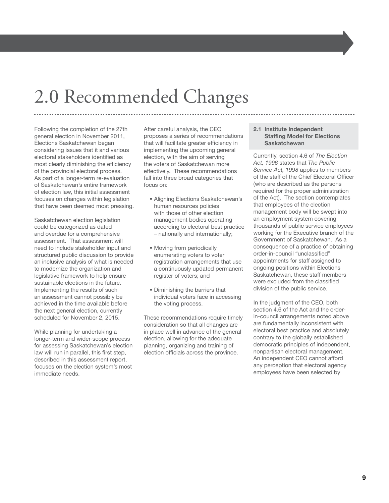## 2.0 Recommended Changes

Following the completion of the 27th general election in November 2011, Elections Saskatchewan began considering issues that it and various electoral stakeholders identified as most clearly diminishing the efficiency of the provincial electoral process. As part of a longer-term re-evaluation of Saskatchewan's entire framework of election law, this initial assessment focuses on changes within legislation that have been deemed most pressing.

Saskatchewan election legislation could be categorized as dated and overdue for a comprehensive assessment. That assessment will need to include stakeholder input and structured public discussion to provide an inclusive analysis of what is needed to modernize the organization and legislative framework to help ensure sustainable elections in the future. Implementing the results of such an assessment cannot possibly be achieved in the time available before the next general election, currently scheduled for November 2, 2015.

While planning for undertaking a longer-term and wider-scope process for assessing Saskatchewan's election law will run in parallel, this first step, described in this assessment report, focuses on the election system's most immediate needs.

After careful analysis, the CEO proposes a series of recommendations that will facilitate greater efficiency in implementing the upcoming general election, with the aim of serving the voters of Saskatchewan more effectively. These recommendations fall into three broad categories that focus on:

- Aligning Elections Saskatchewan's human resources policies with those of other election management bodies operating according to electoral best practice – nationally and internationally;
- Moving from periodically enumerating voters to voter registration arrangements that use a continuously updated permanent register of voters; and
- Diminishing the barriers that individual voters face in accessing the voting process.

These recommendations require timely consideration so that all changes are in place well in advance of the general election, allowing for the adequate planning, organizing and training of election officials across the province.

#### **2.1 Institute Independent Staffing Model for Elections Saskatchewan**

Currently, section 4.6 of *The Election Act, 1996* states that *The Public Service Act, 1998* applies to members of the staff of the Chief Electoral Officer (who are described as the persons required for the proper administration of the Act). The section contemplates that employees of the election management body will be swept into an employment system covering thousands of public service employees working for the Executive branch of the Government of Saskatchewan. As a consequence of a practice of obtaining order-in-council "unclassified" appointments for staff assigned to ongoing positions within Elections Saskatchewan, these staff members were excluded from the classified division of the public service.

In the judgment of the CEO, both section 4.6 of the Act and the orderin-council arrangements noted above are fundamentally inconsistent with electoral best practice and absolutely contrary to the globally established democratic principles of independent, nonpartisan electoral management. An independent CEO cannot afford any perception that electoral agency employees have been selected by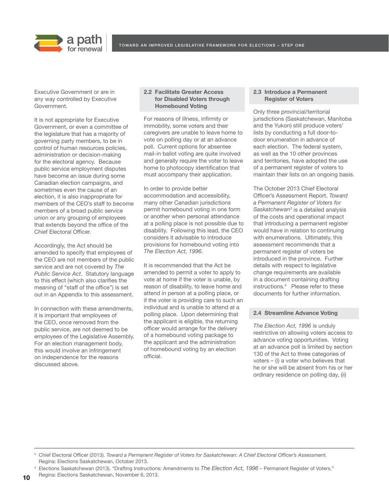



Executive Government or are in any way controlled by Executive Government.

It is not appropriate for Executive Government, or even a committee of the legislature that has a majority of governing party members, to be in control of human resources policies, administration or decision-making for the electoral agency. Because public service employment disputes have become an issue during some Canadian election campaigns, and sometimes even the cause of an election, it is also inappropriate for members of the CEO's staff to become members of a broad public service union or any grouping of employees that extends beyond the office of the Chief Electoral Officer.

Accordingly, the Act should be amended to specify that employees of the CEO are not members of the public service and are not covered by *The Public Service Act*. Statutory language to this effect (which also clarifies the meaning of "staff of the office") is set out in an Appendix to this assessment.

In connection with these amendments, it is important that employees of the CEO, once removed from the public service, are not deemed to be employees of the Legislative Assembly. For an election management body, this would involve an infringement on independence for the reasons discussed above.

#### **2.2 Facilitate Greater Access for Disabled Voters through Homebound Voting**

For reasons of illness, infirmity or immobility, some voters and their caregivers are unable to leave home to vote on polling day or at an advance poll. Current options for absentee mail-in ballot voting are quite involved and generally require the voter to leave home to photocopy identification that must accompany their application.

In order to provide better accommodation and accessibility, many other Canadian jurisdictions permit homebound voting in one form or another when personal attendance at a polling place is not possible due to disability. Following this lead, the CEO considers it advisable to introduce provisions for homebound voting into *The Election Act, 1996*.

It is recommended that the Act be amended to permit a voter to apply to vote at home if the voter is unable, by reason of disability, to leave home and attend in person at a polling place, or if the voter is providing care to such an individual and is unable to attend at a polling place. Upon determining that the applicant is eligible, the returning officer would arrange for the delivery of a homebound voting package to the applicant and the administration of homebound voting by an election official.

#### **2.3 Introduce a Permanent Register of Voters**

Only three provincial/territorial jurisdictions (Saskatchewan, Manitoba and the Yukon) still produce voters' lists by conducting a full door-todoor enumeration in advance of each election. The federal system, as well as the 10 other provinces and territories, have adopted the use of a permanent register of voters to maintain their lists on an ongoing basis.

The October 2013 Chief Electoral Officer's Assessment Report, *Toward a Permanent Register of Voters for Saskatchewan3* is a detailed analysis of the costs and operational impact that introducing a permanent register would have in relation to continuing with enumerations. Ultimately, this assessment recommends that a permanent register of voters be introduced in the province. Further details with respect to legislative change requirements are available in a document containing drafting instructions.<sup>4</sup> Please refer to these documents for further information.

#### **2.4 Streamline Advance Voting**

*The Election Act, 1996* is unduly restrictive on allowing voters access to advance voting opportunities. Voting at an advance poll is limited by section 130 of the Act to three categories of voters – (i) a voter who believes that he or she will be absent from his or her ordinary residence on polling day, (ii)

Chief Electoral Officer (2013). *Toward a Permanent Register of Voters for Saskatchewan: A Chief Electoral Officer's Assessment.* Regina: Elections Saskatchewan, October 2013.

<sup>4</sup> Elections Saskatchewan (2013). "Drafting Instructions: Amendments to *The Election Act, 1996* – Permanent Register of Voters." Regina: Elections Saskatchewan, November 6, 2013.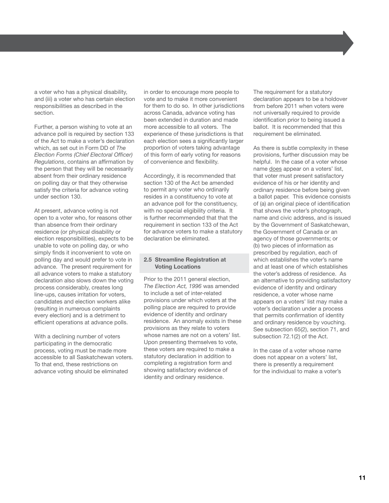a voter who has a physical disability, and (iii) a voter who has certain election responsibilities as described in the section.

Further, a person wishing to vote at an advance poll is required by section 133 of the Act to make a voter's declaration which, as set out in Form DD of *The Election Forms (Chief Electoral Officer) Regulations*, contains an affirmation by the person that they will be necessarily absent from their ordinary residence on polling day or that they otherwise satisfy the criteria for advance voting under section 130.

At present, advance voting is not open to a voter who, for reasons other than absence from their ordinary residence (or physical disability or election responsibilities), expects to be unable to vote on polling day, or who simply finds it inconvenient to vote on polling day and would prefer to vote in advance. The present requirement for all advance voters to make a statutory declaration also slows down the voting process considerably, creates long line-ups, causes irritation for voters, candidates and election workers alike (resulting in numerous complaints every election) and is a detriment to efficient operations at advance polls.

With a declining number of voters participating in the democratic process, voting must be made more accessible to all Saskatchewan voters. To that end, these restrictions on advance voting should be eliminated

in order to encourage more people to vote and to make it more convenient for them to do so. In other jurisdictions across Canada, advance voting has been extended in duration and made more accessible to all voters. The experience of these jurisdictions is that each election sees a significantly larger proportion of voters taking advantage of this form of early voting for reasons of convenience and flexibility.

Accordingly, it is recommended that section 130 of the Act be amended to permit any voter who ordinarily resides in a constituency to vote at an advance poll for the constituency, with no special eligibility criteria. It is further recommended that that the requirement in section 133 of the Act for advance voters to make a statutory declaration be eliminated.

#### **2.5 Streamline Registration at Voting Locations**

Prior to the 2011 general election, *The Election Act, 1996* was amended to include a set of inter-related provisions under which voters at the polling place are required to provide evidence of identity and ordinary residence. An anomaly exists in these provisions as they relate to voters whose names are not on a voters' list. Upon presenting themselves to vote, these voters are required to make a statutory declaration in addition to completing a registration form and showing satisfactory evidence of identity and ordinary residence.

The requirement for a statutory declaration appears to be a holdover from before 2011 when voters were not universally required to provide identification prior to being issued a ballot. It is recommended that this requirement be eliminated.

As there is subtle complexity in these provisions, further discussion may be helpful. In the case of a voter whose name does appear on a voters' list, that voter must present satisfactory evidence of his or her identity and ordinary residence before being given a ballot paper. This evidence consists of (a) an original piece of identification that shows the voter's photograph, name and civic address, and is issued by the Government of Saskatchewan, the Government of Canada or an agency of those governments; or (b) two pieces of information as prescribed by regulation, each of which establishes the voter's name and at least one of which establishes the voter's address of residence. As an alternative to providing satisfactory evidence of identity and ordinary residence, a voter whose name appears on a voters' list may make a voter's declaration under a process that permits confirmation of identity and ordinary residence by vouching. See subsection 65(2), section 71, and subsection 72.1(2) of the Act.

In the case of a voter whose name does not appear on a voters' list, there is presently a requirement for the individual to make a voter's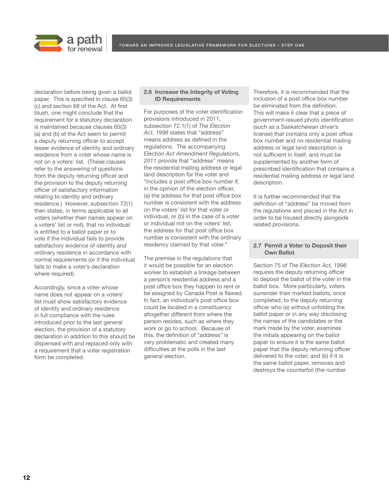

declaration before being given a ballot paper. This is specified in clause 65(3) (c) and section 68 of the Act. At first blush, one might conclude that the requirement for a statutory declaration is maintained because clauses 65(3) (a) and (b) of the Act seem to permit a deputy returning officer to accept lesser evidence of identity and ordinary residence from a voter whose name is not on a voters' list. (These clauses refer to the answering of questions from the deputy returning officer and the provision to the deputy returning officer of satisfactory information relating to identity and ordinary residence.) However, subsection 72(1) then states, in terms applicable to all voters (whether their names appear on a voters' list or not), that no individual is entitled to a ballot paper or to vote if the individual fails to provide satisfactory evidence of identity and ordinary residence in accordance with normal requirements (or if the individual fails to make a voter's declaration where required).

Accordingly, since a voter whose name does not appear on a voters' list must show satisfactory evidence of identity and ordinary residence in full compliance with the rules introduced prior to the last general election, the provision of a statutory declaration in addition to this should be dispensed with and replaced only with a requirement that a voter registration form be completed.

#### **2.6 Increase the Integrity of Voting ID Requirements**

For purposes of the voter identification provisions introduced in 2011, subsection 72.1(1) of *The Election Act, 1996* states that "address" means address as defined in the regulations. The accompanying *Election Act Amendment Regulations, 2011* provide that "address" means the residential mailing address or legal land description for the voter and "includes a post office box number if, in the opinion of the election officer, (a) the address for that post office box number is consistent with the address on the voters' list for that voter or individual, or (b) in the case of a voter or individual not on the voters' list, the address for that post office box number is consistent with the ordinary residency claimed by that voter."

The premise in the regulations that it would be possible for an election worker to establish a linkage between a person's residential address and a post office box they happen to rent or be assigned by Canada Post is flawed. In fact, an individual's post office box could be located in a constituency altogether different from where the person resides, such as where they work or go to school. Because of this, the definition of "address" is very problematic and created many difficulties at the polls in the last general election.

Therefore, it is recommended that the inclusion of a post office box number be eliminated from the definition. This will make it clear that a piece of government-issued photo identification (such as a Saskatchewan driver's license) that contains only a post office box number and no residential mailing address or legal land description is not sufficient in itself, and must be supplemented by another form of prescribed identification that contains a residential mailing address or legal land description.

It is further recommended that the definition of "address" be moved from the regulations and placed in the Act in order to be housed directly alongside related provisions.

#### **2.7 Permit a Voter to Deposit their Own Ballot**

Section 75 of *The Election Act, 1996* requires the deputy returning officer to deposit the ballot of the voter in the ballot box. More particularly, voters surrender their marked ballots, once completed, to the deputy returning officer who (a) without unfolding the ballot paper or in any way disclosing the names of the candidates or the mark made by the voter, examines the initials appearing on the ballot paper to ensure it is the same ballot paper that the deputy returning officer delivered to the voter; and (b) if it is the same ballot paper, removes and destroys the counterfoil (the number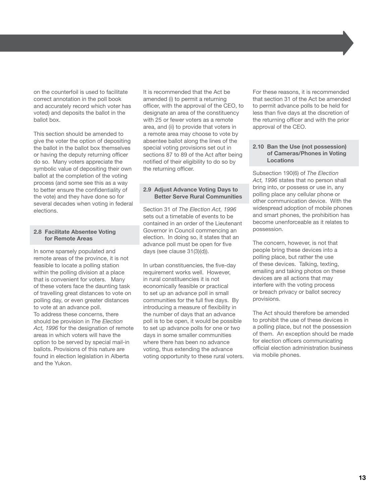on the counterfoil is used to facilitate correct annotation in the poll book and accurately record which voter has voted) and deposits the ballot in the ballot box.

This section should be amended to give the voter the option of depositing the ballot in the ballot box themselves or having the deputy returning officer do so. Many voters appreciate the symbolic value of depositing their own ballot at the completion of the voting process (and some see this as a way to better ensure the confidentiality of the vote) and they have done so for several decades when voting in federal elections.

#### **2.8 Facilitate Absentee Voting for Remote Areas**

In some sparsely populated and remote areas of the province, it is not feasible to locate a polling station within the polling division at a place that is convenient for voters. Many of these voters face the daunting task of travelling great distances to vote on polling day, or even greater distances to vote at an advance poll. To address these concerns, there should be provision in *The Election Act, 1996* for the designation of remote areas in which voters will have the option to be served by special mail-in ballots. Provisions of this nature are found in election legislation in Alberta and the Yukon.

It is recommended that the Act be amended (i) to permit a returning officer, with the approval of the CEO, to designate an area of the constituency with 25 or fewer voters as a remote area, and (ii) to provide that voters in a remote area may choose to vote by absentee ballot along the lines of the special voting provisions set out in sections 87 to 89 of the Act after being notified of their eligibility to do so by the returning officer.

#### **2.9 Adjust Advance Voting Days to Better Serve Rural Communities**

Section 31 of *The Election Act, 1996* sets out a timetable of events to be contained in an order of the Lieutenant Governor in Council commencing an election. In doing so, it states that an advance poll must be open for five days (see clause 31(3)(d)).

In urban constituencies, the five-day requirement works well. However, in rural constituencies it is not economically feasible or practical to set up an advance poll in small communities for the full five days. By introducing a measure of flexibility in the number of days that an advance poll is to be open, it would be possible to set up advance polls for one or two days in some smaller communities where there has been no advance voting, thus extending the advance voting opportunity to these rural voters. For these reasons, it is recommended that section 31 of the Act be amended to permit advance polls to be held for less than five days at the discretion of the returning officer and with the prior approval of the CEO.

#### **2.10 Ban the Use (not possession) of Cameras/Phones in Voting Locations**

Subsection 190(6) of *The Election Act, 1996* states that no person shall bring into, or possess or use in, any polling place any cellular phone or other communication device. With the widespread adoption of mobile phones and smart phones, the prohibition has become unenforceable as it relates to possession.

The concern, however, is not that people bring these devices into a polling place, but rather the use of these devices. Talking, texting, emailing and taking photos on these devices are all actions that may interfere with the voting process or breach privacy or ballot secrecy provisions.

The Act should therefore be amended to prohibit the use of these devices in a polling place, but not the possession of them. An exception should be made for election officers communicating official election administration business via mobile phones.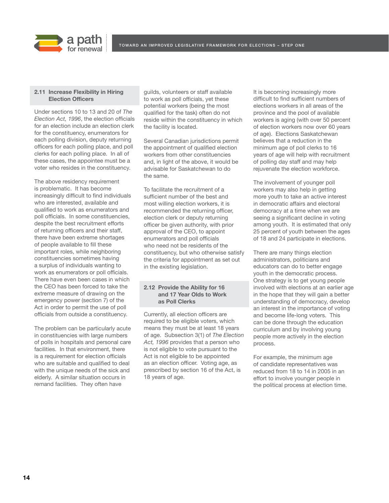

#### **2.11 Increase Flexibility in Hiring Election Officers**

a path

Under sections 10 to 13 and 20 of *The Election Act, 1996*, the election officials for an election include an election clerk for the constituency, enumerators for each polling division, deputy returning officers for each polling place, and poll clerks for each polling place. In all of these cases, the appointee must be a voter who resides in the constituency.

The above residency requirement is problematic. It has become increasingly difficult to find individuals who are interested, available and qualified to work as enumerators and poll officials. In some constituencies, despite the best recruitment efforts of returning officers and their staff, there have been extreme shortages of people available to fill these important roles, while neighboring constituencies sometimes having a surplus of individuals wanting to work as enumerators or poll officials. There have even been cases in which the CEO has been forced to take the extreme measure of drawing on the emergency power (section 7) of the Act in order to permit the use of poll officials from outside a constituency.

The problem can be particularly acute in constituencies with large numbers of polls in hospitals and personal care facilities. In that environment, there is a requirement for election officials who are suitable and qualified to deal with the unique needs of the sick and elderly. A similar situation occurs in remand facilities. They often have

guilds, volunteers or staff available to work as poll officials, yet these potential workers (being the most qualified for the task) often do not reside within the constituency in which the facility is located.

Several Canadian jurisdictions permit the appointment of qualified election workers from other constituencies and, in light of the above, it would be advisable for Saskatchewan to do the same.

To facilitate the recruitment of a sufficient number of the best and most willing election workers, it is recommended the returning officer, election clerk or deputy returning officer be given authority, with prior approval of the CEO, to appoint enumerators and poll officials who need not be residents of the constituency, but who otherwise satisfy the criteria for appointment as set out in the existing legislation.

#### **2.12 Provide the Ability for 16 and 17 Year Olds to Work as Poll Clerks**

Currently, all election officers are required to be eligible voters, which means they must be at least 18 years of age. Subsection 3(1) of *The Election Act, 1996* provides that a person who is not eligible to vote pursuant to the Act is not eligible to be appointed as an election officer. Voting age, as prescribed by section 16 of the Act, is 18 years of age.

It is becoming increasingly more difficult to find sufficient numbers of elections workers in all areas of the province and the pool of available workers is aging (with over 50 percent of election workers now over 60 years of age). Elections Saskatchewan believes that a reduction in the minimum age of poll clerks to 16 years of age will help with recruitment of polling day staff and may help rejuvenate the election workforce.

The involvement of younger poll workers may also help in getting more youth to take an active interest in democratic affairs and electoral democracy at a time when we are seeing a significant decline in voting among youth. It is estimated that only 25 percent of youth between the ages of 18 and 24 participate in elections.

There are many things election administrators, politicians and educators can do to better engage youth in the democratic process. One strategy is to get young people involved with elections at an earlier age in the hope that they will gain a better understanding of democracy, develop an interest in the importance of voting and become life-long voters. This can be done through the education curriculum and by involving young people more actively in the election process.

For example, the minimum age of candidate representatives was reduced from 18 to 14 in 2005 in an effort to involve younger people in the political process at election time.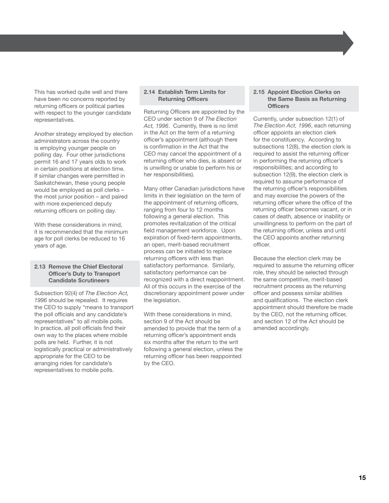This has worked quite well and there have been no concerns reported by returning officers or political parties with respect to the younger candidate representatives.

Another strategy employed by election administrators across the country is employing younger people on polling day. Four other jurisdictions permit 16 and 17 years olds to work in certain positions at election time. If similar changes were permitted in Saskatchewan, these young people would be employed as poll clerks – the most junior position – and paired with more experienced deputy returning officers on polling day.

With these considerations in mind, it is recommended that the minimum age for poll clerks be reduced to 16 years of age.

#### **2.13 Remove the Chief Electoral Officer's Duty to Transport Candidate Scrutineers**

Subsection 92(4) of *The Election Act, 1996* should be repealed. It requires the CEO to supply "means to transport the poll officials and any candidate's representatives" to all mobile polls. In practice, all poll officials find their own way to the places where mobile polls are held. Further, it is not logistically practical or administratively appropriate for the CEO to be arranging rides for candidate's representatives to mobile polls.

#### **2.14 Establish Term Limits for Returning Officers**

Returning Officers are appointed by the CEO under section 9 of *The Election Act, 1996*. Currently, there is no limit in the Act on the term of a returning officer's appointment (although there is confirmation in the Act that the CEO may cancel the appointment of a returning officer who dies, is absent or is unwilling or unable to perform his or her responsibilities).

Many other Canadian jurisdictions have limits in their legislation on the term of the appointment of returning officers, ranging from four to 12 months following a general election. This promotes revitalization of the critical field management workforce. Upon expiration of fixed-term appointments, an open, merit-based recruitment process can be initiated to replace returning officers with less than satisfactory performance. Similarly, satisfactory performance can be recognized with a direct reappointment. All of this occurs in the exercise of the discretionary appointment power under the legislation.

With these considerations in mind. section 9 of the Act should be amended to provide that the term of a returning officer's appointment ends six months after the return to the writ following a general election, unless the returning officer has been reappointed by the CEO.

#### **2.15 Appoint Election Clerks on the Same Basis as Returning Officers**

Currently, under subsection 12(1) of *The Election Act, 1996*, each returning officer appoints an election clerk for the constituency. According to subsections 12(8), the election clerk is required to assist the returning officer in performing the returning officer's responsibilities; and according to subsection 12(9), the election clerk is required to assume performance of the returning officer's responsibilities and may exercise the powers of the returning officer where the office of the returning officer becomes vacant, or in cases of death, absence or inability or unwillingness to perform on the part of the returning officer, unless and until the CEO appoints another returning officer.

Because the election clerk may be required to assume the returning officer role, they should be selected through the same competitive, merit-based recruitment process as the returning officer and possess similar abilities and qualifications. The election clerk appointment should therefore be made by the CEO, not the returning officer, and section 12 of the Act should be amended accordingly.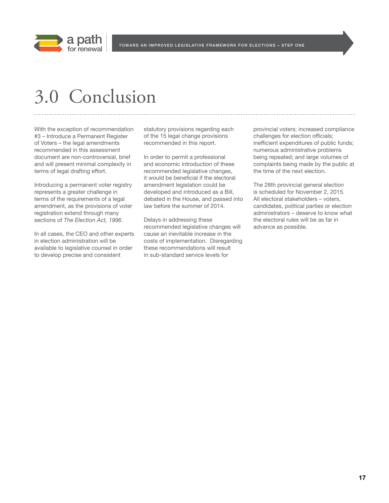

### 3.0 Conclusion

With the exception of recommendation #3 – Introduce a Permanent Register of Voters – the legal amendments recommended in this assessment document are non-controversial, brief and will present minimal complexity in terms of legal drafting effort.

Introducing a permanent voter registry represents a greater challenge in terms of the requirements of a legal amendment, as the provisions of voter registration extend through many sections of *The Election Act, 1996*.

In all cases, the CEO and other experts in election administration will be available to legislative counsel in order to develop precise and consistent

statutory provisions regarding each of the 15 legal change provisions recommended in this report.

In order to permit a professional and economic introduction of these recommended legislative changes, it would be beneficial if the electoral amendment legislation could be developed and introduced as a Bill, debated in the House, and passed into law before the summer of 2014.

Delays in addressing these recommended legislative changes will cause an inevitable increase in the costs of implementation. Disregarding these recommendations will result in sub-standard service levels for

provincial voters; increased compliance challenges for election officials; inefficient expenditures of public funds; numerous administrative problems being repeated; and large volumes of complaints being made by the public at the time of the next election.

The 28th provincial general election is scheduled for November 2, 2015. All electoral stakeholders – voters, candidates, political parties or election administrators – deserve to know what the electoral rules will be as far in advance as possible.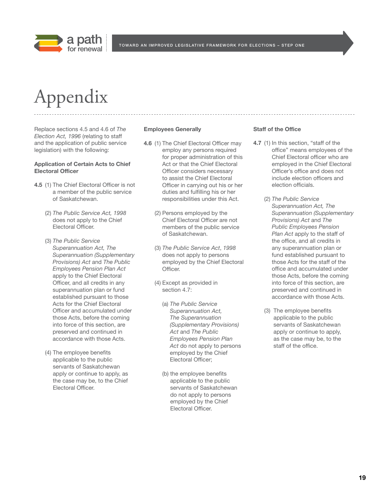

# Appendix

Replace sections 4.5 and 4.6 of *The Election Act, 1996* (relating to staff and the application of public service legislation) with the following:

#### **Application of Certain Acts to Chief Electoral Officer**

- **4.5** (1) The Chief Electoral Officer is not a member of the public service of Saskatchewan.
	- (2) *The Public Service Act, 1998* does not apply to the Chief Electoral Officer.
	- (3) *The Public Service Superannuation Act, The Superannuation (Supplementary Provisions) Act* and *The Public Employees Pension Plan Act* apply to the Chief Electoral Officer, and all credits in any superannuation plan or fund established pursuant to those Acts for the Chief Electoral Officer and accumulated under those Acts, before the coming into force of this section, are preserved and continued in accordance with those Acts.
	- (4) The employee benefits applicable to the public servants of Saskatchewan apply or continue to apply, as the case may be, to the Chief Electoral Officer.

#### **Employees Generally**

- **4.6** (1) The Chief Electoral Officer may employ any persons required for proper administration of this Act or that the Chief Electoral Officer considers necessary to assist the Chief Electoral Officer in carrying out his or her duties and fulfilling his or her responsibilities under this Act.
	- (2) Persons employed by the Chief Electoral Officer are not members of the public service of Saskatchewan.
	- (3) *The Public Service Act*, *1998* does not apply to persons employed by the Chief Electoral Officer.
	- (4) Except as provided in section 4.7:
		- (a) *The Public Service Superannuation Act, The Superannuation (Supplementary Provisions) Act* and *The Public Employees Pension Plan Act* do not apply to persons employed by the Chief Electoral Officer;
		- (b) the employee benefits applicable to the public servants of Saskatchewan do not apply to persons employed by the Chief Electoral Officer.

#### **Staff of the Office**

- **4.7** (1) In this section, "staff of the office" means employees of the Chief Electoral officer who are employed in the Chief Electoral Officer's office and does not include election officers and election officials.
	- (2) *The Public Service Superannuation Act, The Superannuation (Supplementary Provisions) Act* and *The Public Employees Pension Plan Act* apply to the staff of the office, and all credits in any superannuation plan or fund established pursuant to those Acts for the staff of the office and accumulated under those Acts, before the coming into force of this section, are preserved and continued in accordance with those Acts.
	- (3) The employee benefits applicable to the public servants of Saskatchewan apply or continue to apply, as the case may be, to the staff of the office.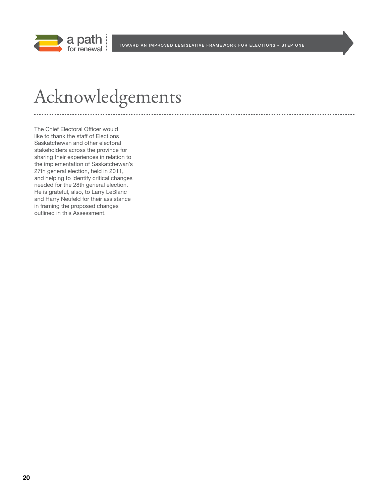

TOWARD AN IMPROVED LEGISLATIVE FRAMEWORK FOR ELECTIONS - STEP ONE

# Acknowledgements

The Chief Electoral Officer would like to thank the staff of Elections Saskatchewan and other electoral stakeholders across the province for sharing their experiences in relation to the implementation of Saskatchewan's 27th general election, held in 2011, and helping to identify critical changes needed for the 28th general election. He is grateful, also, to Larry LeBlanc and Harry Neufeld for their assistance in framing the proposed changes outlined in this Assessment.